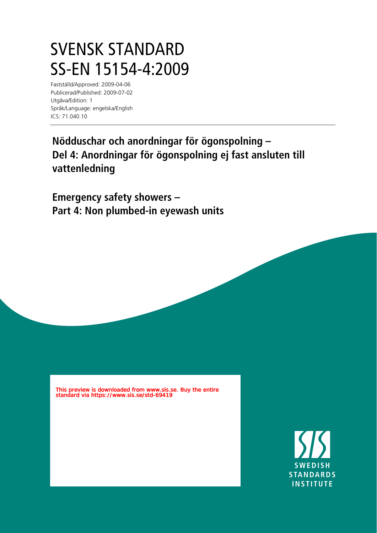## SVENSK STANDARD SS-EN 15154-4:2009

Fastställd/Approved: 2009-04-06 Publicerad/Published: 2009-07-02 Utgåva/Edition: 1 Språk/Language: engelska/English ICS: 71.040.10

### **Nödduschar och anordningar för ögonspolning – Del 4: Anordningar för ögonspolning ej fast ansluten till vattenledning**

**Emergency safety showers – Part 4: Non plumbed-in eyewash units**

This preview is downloaded from www.sis.se. Buy the entire standard via https://www.sis.se/std-69419

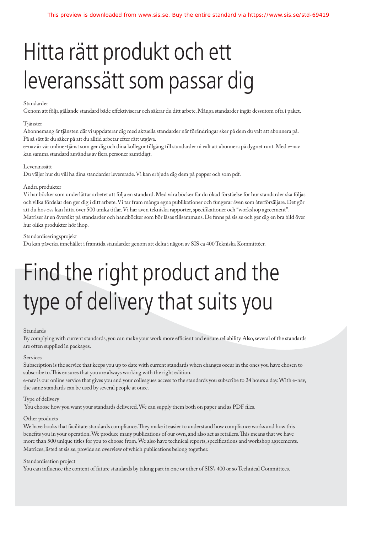## Hitta rätt produkt och ett leveranssätt som passar dig

#### Standarder

Genom att följa gällande standard både effektiviserar och säkrar du ditt arbete. Många standarder ingår dessutom ofta i paket.

#### Tjänster

Abonnemang är tjänsten där vi uppdaterar dig med aktuella standarder när förändringar sker på dem du valt att abonnera på. På så sätt är du säker på att du alltid arbetar efter rätt utgåva.

e-nav är vår online-tjänst som ger dig och dina kollegor tillgång till standarder ni valt att abonnera på dygnet runt. Med e-nav kan samma standard användas av flera personer samtidigt.

#### Leveranssätt

Du väljer hur du vill ha dina standarder levererade. Vi kan erbjuda dig dem på papper och som pdf.

#### Andra produkter

Vi har böcker som underlättar arbetet att följa en standard. Med våra böcker får du ökad förståelse för hur standarder ska följas och vilka fördelar den ger dig i ditt arbete. Vi tar fram många egna publikationer och fungerar även som återförsäljare. Det gör att du hos oss kan hitta över 500 unika titlar. Vi har även tekniska rapporter, specikationer och "workshop agreement". Matriser är en översikt på standarder och handböcker som bör läsas tillsammans. De finns på sis.se och ger dig en bra bild över hur olika produkter hör ihop.

#### Standardiseringsprojekt

Du kan påverka innehållet i framtida standarder genom att delta i någon av SIS ca 400 Tekniska Kommittéer.

# Find the right product and the type of delivery that suits you

#### Standards

By complying with current standards, you can make your work more efficient and ensure reliability. Also, several of the standards are often supplied in packages.

#### Services

Subscription is the service that keeps you up to date with current standards when changes occur in the ones you have chosen to subscribe to. This ensures that you are always working with the right edition.

e-nav is our online service that gives you and your colleagues access to the standards you subscribe to 24 hours a day. With e-nav, the same standards can be used by several people at once.

#### Type of delivery

You choose how you want your standards delivered. We can supply them both on paper and as PDF files.

#### Other products

We have books that facilitate standards compliance. They make it easier to understand how compliance works and how this benefits you in your operation. We produce many publications of our own, and also act as retailers. This means that we have more than 500 unique titles for you to choose from. We also have technical reports, specifications and workshop agreements. Matrices, listed at sis.se, provide an overview of which publications belong together.

#### Standardisation project

You can influence the content of future standards by taking part in one or other of SIS's 400 or so Technical Committees.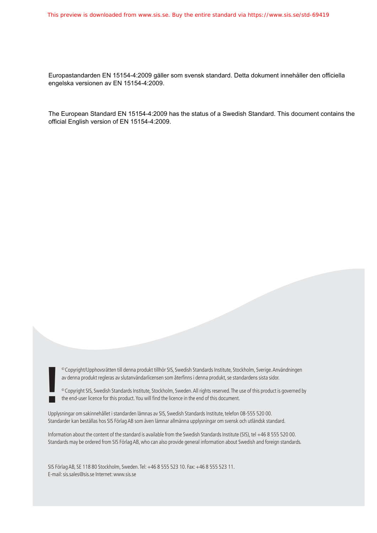Europastandarden EN 15154-4:2009 gäller som svensk standard. Detta dokument innehåller den officiella engelska versionen av EN 15154-4:2009.

The European Standard EN 15154-4:2009 has the status of a Swedish Standard. This document contains the official English version of EN 15154-4:2009.

© Copyright/Upphovsrätten till denna produkt tillhör SIS, Swedish Standards Institute, Stockholm, Sverige. Användningen av denna produkt regleras av slutanvändarlicensen som återfinns i denna produkt, se standardens sista sidor.

© Copyright/Upphovsrätten till denna produkt tillhör SIS, Swedish Standards Institute, Stockholm, Sverige. Användningen<br>av denna produkt regleras av slutanvändarlicensen som återfinns i denna produkt, se standardens sista

Upplysningar om sakinnehållet i standarden lämnas av SIS, Swedish Standards Institute, telefon 08-555 520 00. Standarder kan beställas hos SIS Förlag AB som även lämnar allmänna upplysningar om svensk och utländsk standard.

Information about the content of the standard is available from the Swedish Standards Institute (SIS), tel +46 8 555 520 00. Standards may be ordered from SIS Förlag AB, who can also provide general information about Swedish and foreign standards.

SIS Förlag AB, SE 118 80 Stockholm, Sweden. Tel: +46 8 555 523 10. Fax: +46 8 555 523 11. E-mail: sis.sales@sis.se Internet: www.sis.se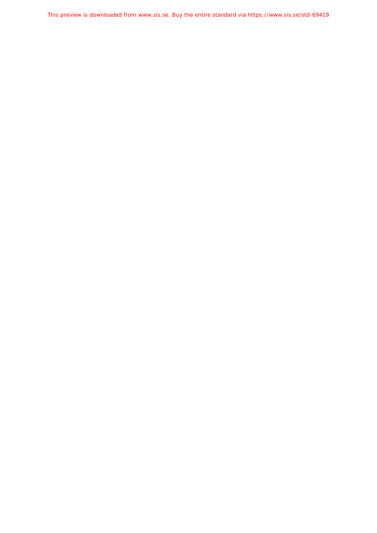This preview is downloaded from www.sis.se. Buy the entire standard via https://www.sis.se/std-69419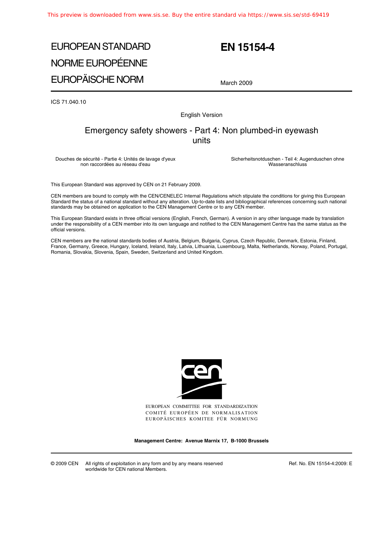## EUROPEAN STANDARD NORME EUROPÉENNE EUROPÄISCHE NORM

**EN 15154-4**

EN 15154-4

ICS 71.040.10

March 2009

#### English Version

#### Emergency safety showers - Part 4: Non plumbed-in eyewash units

Douches de sécurité - Partie 4: Unités de lavage d'yeux non raccordées au réseau d'eau

Sicherheitsnotduschen - Teil 4: Augenduschen ohne Wasseranschluss

This European Standard was approved by CEN on 21 February 2009.

CEN members are bound to comply with the CEN/CENELEC Internal Regulations which stipulate the conditions for giving this European Standard the status of a national standard without any alteration. Up-to-date lists and bibliographical references concerning such national standards may be obtained on application to the CEN Management Centre or to any CEN member.

This European Standard exists in three official versions (English, French, German). A version in any other language made by translation under the responsibility of a CEN member into its own language and notified to the CEN Management Centre has the same status as the official versions.

CEN members are the national standards bodies of Austria, Belgium, Bulgaria, Cyprus, Czech Republic, Denmark, Estonia, Finland, France, Germany, Greece, Hungary, Iceland, Ireland, Italy, Latvia, Lithuania, Luxembourg, Malta, Netherlands, Norway, Poland, Portugal, Romania, Slovakia, Slovenia, Spain, Sweden, Switzerland and United Kingdom.



EUROPEAN COMMITTEE FOR STANDARDIZATION COMITÉ EUROPÉEN DE NORMALISATION EUROPÄISCHES KOMITEE FÜR NORMUNG

**Management Centre: Avenue Marnix 17, B-1000 Brussels**

© 2009 CEN All rights of exploitation in any form and by any means reserved worldwide for CEN national Members.

Ref. No. EN 15154-4:2009: E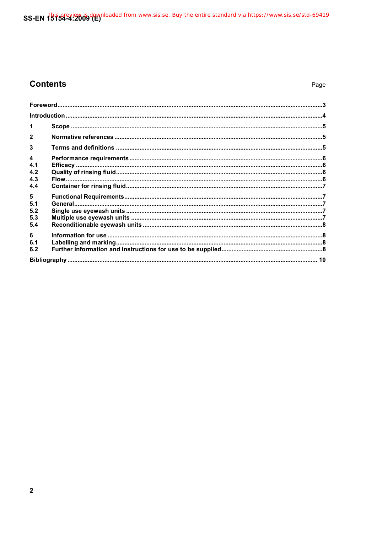SS-EN 15150 12009 (E) SS-EN 15150 12009 (E)

### **Contents**

| 1                       |  |  |  |
|-------------------------|--|--|--|
| $\overline{2}$          |  |  |  |
| 3                       |  |  |  |
| $\overline{\mathbf{4}}$ |  |  |  |
| 4.1                     |  |  |  |
| 4.2                     |  |  |  |
| 4.3                     |  |  |  |
| 4.4                     |  |  |  |
| 5                       |  |  |  |
| 5.1                     |  |  |  |
| 5.2                     |  |  |  |
| 5.3                     |  |  |  |
| 5.4                     |  |  |  |
| $6\overline{6}$         |  |  |  |
| 6.1                     |  |  |  |
| 6.2                     |  |  |  |
|                         |  |  |  |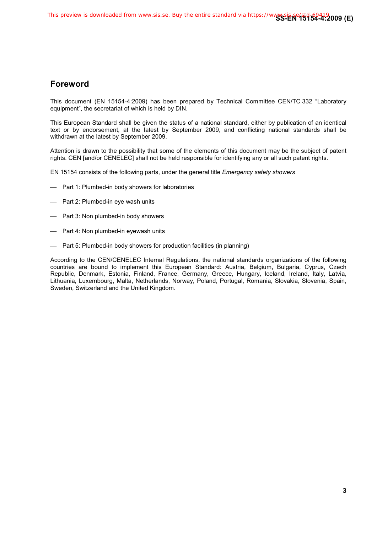**EN 15154-4:2009 (E)** 

#### **Foreword**

This document (EN 15154-4:2009) has been prepared by Technical Committee CEN/TC 332 "Laboratory equipment", the secretariat of which is held by DIN.

This European Standard shall be given the status of a national standard, either by publication of an identical text or by endorsement, at the latest by September 2009, and conflicting national standards shall be withdrawn at the latest by September 2009.

Attention is drawn to the possibility that some of the elements of this document may be the subject of patent rights. CEN [and/or CENELEC] shall not be held responsible for identifying any or all such patent rights.

EN 15154 consists of the following parts, under the general title *Emergency safety showers*

- Part 1: Plumbed-in body showers for laboratories
- Part 2: Plumbed-in eye wash units
- Part 3: Non plumbed-in body showers
- Part 4: Non plumbed-in eyewash units
- Part 5: Plumbed-in body showers for production facilities (in planning)

According to the CEN/CENELEC Internal Regulations, the national standards organizations of the following countries are bound to implement this European Standard: Austria, Belgium, Bulgaria, Cyprus, Czech Republic, Denmark, Estonia, Finland, France, Germany, Greece, Hungary, Iceland, Ireland, Italy, Latvia, Lithuania, Luxembourg, Malta, Netherlands, Norway, Poland, Portugal, Romania, Slovakia, Slovenia, Spain, Sweden, Switzerland and the United Kingdom.